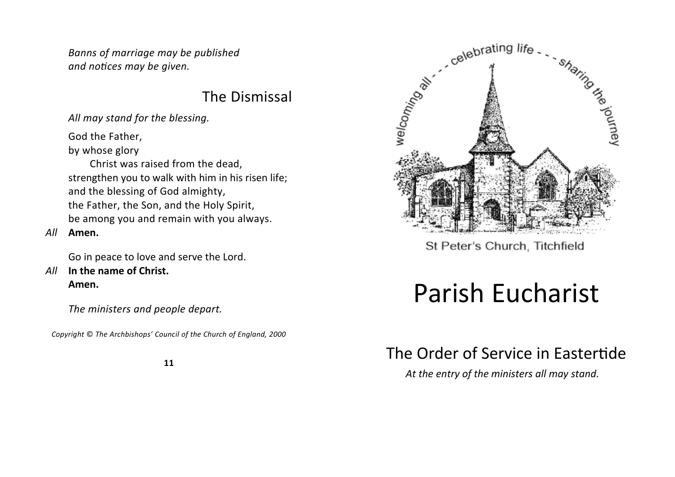*Banns of marriage may be published and notices may be given.*

### The Dismissal

*All may stand for the blessing.*

God the Father,

by whose glory

 Christ was raised from the dead, strengthen you to walk with him in his risen life; and the blessing of God almighty, the Father, the Son, and the Holy Spirit, be among you and remain with you always.

### *All* **Amen.**

Go in peace to love and serve the Lord.

*All* **In the name of Christ. Amen.**

*The ministers and people depart.*

*Copyright* © *The Archbishops' Council of the Church of England, 2000*





St Peter's Church, Titchfield

# Parish Eucharist

# The Order of Service in Eastertide

*At the entry of the ministers all may stand.*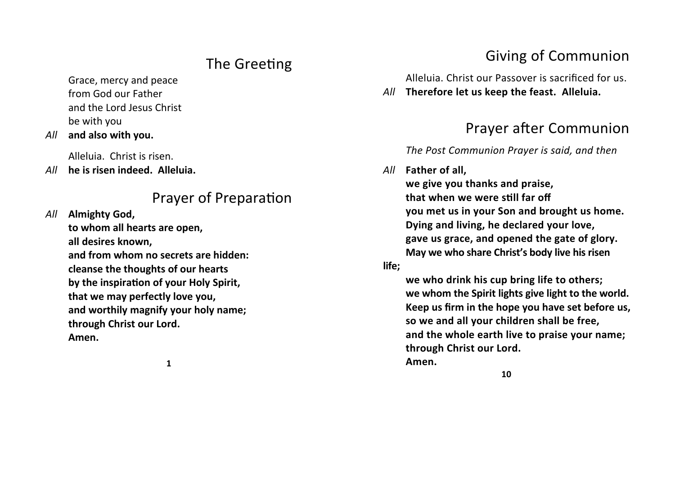## The Greeting

Grace, mercy and peace from God our Father and the Lord Jesus Christ be with you

*All* **and also with you.**

Alleluia. Christ is risen.

*All* **he is risen indeed. Alleluia.**

### Prayer of Preparation

*All* **Almighty God,**

**to whom all hearts are open, all desires known, and from whom no secrets are hidden: cleanse the thoughts of our hearts by the inspiration of your Holy Spirit, that we may perfectly love you, and worthily magnify your holy name; through Christ our Lord. Amen.**

**1**

## Giving of Communion

Alleluia. Christ our Passover is sacrificed for us.

*All* **Therefore let us keep the feast. Alleluia.**

# Prayer after Communion

### *The Post Communion Prayer is said, and then*

### *All* **Father of all,**

**we give you thanks and praise, that when we were still far off you met us in your Son and brought us home. Dying and living, he declared your love, gave us grace, and opened the gate of glory. May we who share Christ's body live his risen** 

#### **life;**

**we who drink his cup bring life to others; we whom the Spirit lights give light to the world. Keep us firm in the hope you have set before us, so we and all your children shall be free, and the whole earth live to praise your name; through Christ our Lord. Amen.**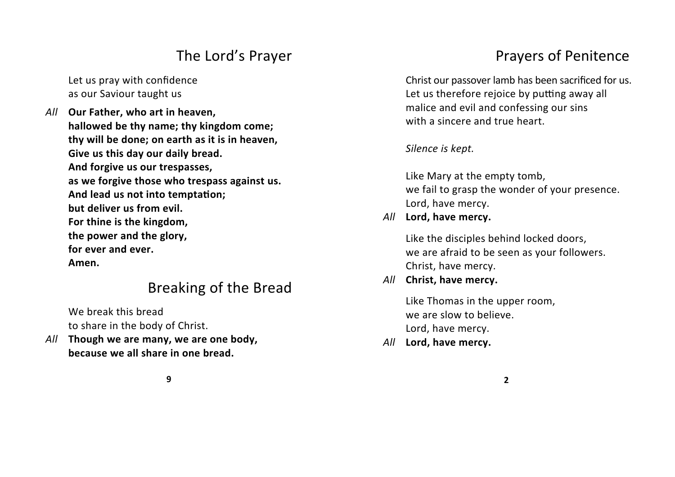### The Lord's Prayer

Let us pray with confidence as our Saviour taught us

*All* **Our Father, who art in heaven, hallowed be thy name; thy kingdom come; thy will be done; on earth as it is in heaven, Give us this day our daily bread. And forgive us our trespasses, as we forgive those who trespass against us. And lead us not into temptation; but deliver us from evil. For thine is the kingdom, the power and the glory, for ever and ever. Amen.**

## Breaking of the Bread

We break this bread to share in the body of Christ.

*All* **Though we are many, we are one body, because we all share in one bread.**

# Prayers of Penitence

Christ our passover lamb has been sacrificed for us. Let us therefore rejoice by putting away all malice and evil and confessing our sins with a sincere and true heart.

*Silence is kept.*

Like Mary at the empty tomb, we fail to grasp the wonder of your presence. Lord, have mercy.

### *All* **Lord, have mercy.**

Like the disciples behind locked doors, we are afraid to be seen as your followers. Christ, have mercy.

**2**

### *All* **Christ, have mercy.**

Like Thomas in the upper room, we are slow to believe. Lord, have mercy.

*All* **Lord, have mercy.**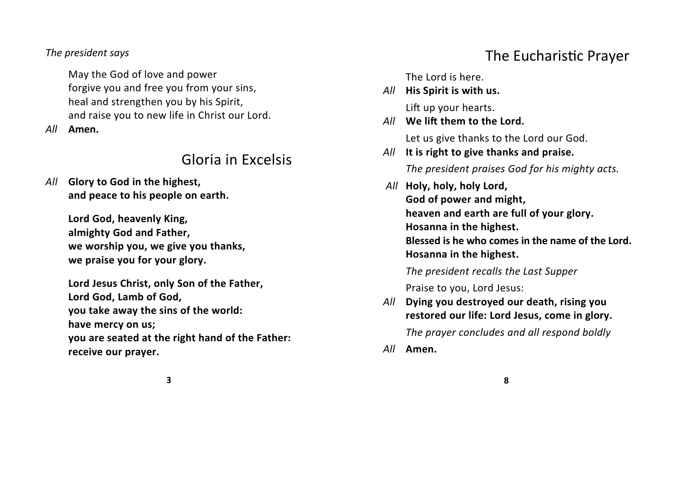#### *The president says*

May the God of love and power forgive you and free you from your sins, heal and strengthen you by his Spirit, and raise you to new life in Christ our Lord.

*All* **Amen.**

### Gloria in Excelsis

*All* **Glory to God in the highest, and peace to his people on earth.**

> **Lord God, heavenly King, almighty God and Father, we worship you, we give you thanks, we praise you for your glory.**

**Lord Jesus Christ, only Son of the Father, Lord God, Lamb of God, you take away the sins of the world: have mercy on us; you are seated at the right hand of the Father: receive our prayer.**

### The Eucharistic Prayer

The Lord is here.

*All* **His Spirit is with us.**

Lift up your hearts.

*All* **We lift them to the Lord.**

Let us give thanks to the Lord our God.

*All* **It is right to give thanks and praise.**

*The president praises God for his mighty acts.*

 *All* **Holy, holy, holy Lord, God of power and might, heaven and earth are full of your glory. Hosanna in the highest. Blessed is he who comes in the name of the Lord. Hosanna in the highest.**

*The president recalls the Last Supper*

Praise to you, Lord Jesus:

*All* **Dying you destroyed our death, rising you restored our life: Lord Jesus, come in glory.** 

*The prayer concludes and all respond boldly*

**8**

*All* **Amen.**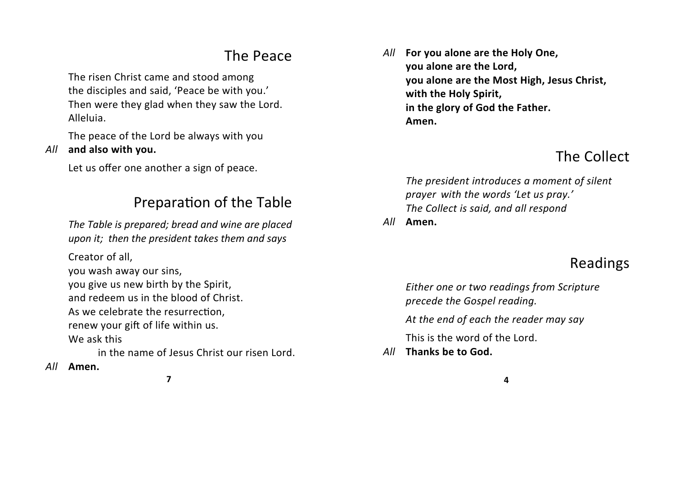### The Peace

The risen Christ came and stood among the disciples and said, 'Peace be with you.' Then were they glad when they saw the Lord. Alleluia.

The peace of the Lord be always with you *All* **and also with you.**

Let us offer one another a sign of peace.

### Preparation of the Table

*The Table is prepared; bread and wine are placed upon it; then the president takes them and says*

Creator of all,

you wash away our sins,

you give us new birth by the Spirit,

and redeem us in the blood of Christ.

As we celebrate the resurrection,

renew your gift of life within us.

We ask this

in the name of Jesus Christ our risen Lord.

*All* **Amen.**

*All* **For you alone are the Holy One, you alone are the Lord, you alone are the Most High, Jesus Christ, with the Holy Spirit, in the glory of God the Father. Amen.**

# The Collect

*The president introduces a moment of silent prayer with the words 'Let us pray.' The Collect is said, and all respond*

*All* **Amen.**

# Readings

*Either one or two readings from Scripture precede the Gospel reading.*

*At the end of each the reader may say*

This is the word of the Lord.

*All* **Thanks be to God.**

**7**